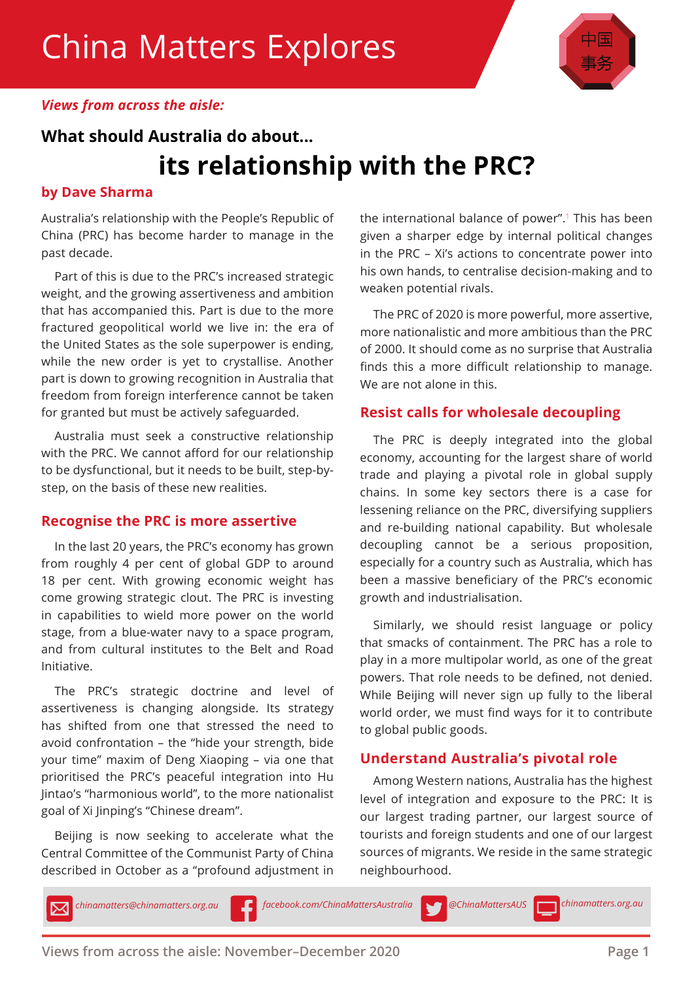

## *Views from across the aisle:*

# **What should Australia do about... its relationship with the PRC?**

## **by Dave Sharma**

Australia's relationship with the People's Republic of China (PRC) has become harder to manage in the past decade.

Part of this is due to the PRC's increased strategic weight, and the growing assertiveness and ambition that has accompanied this. Part is due to the more fractured geopolitical world we live in: the era of the United States as the sole superpower is ending, while the new order is yet to crystallise. Another part is down to growing recognition in Australia that freedom from foreign interference cannot be taken for granted but must be actively safeguarded.

Australia must seek a constructive relationship with the PRC. We cannot afford for our relationship to be dysfunctional, but it needs to be built, step-bystep, on the basis of these new realities.

# **Recognise the PRC is more assertive**

In the last 20 years, the PRC's economy has grown from roughly 4 per cent of global GDP to around 18 per cent. With growing economic weight has come growing strategic clout. The PRC is investing in capabilities to wield more power on the world stage, from a blue-water navy to a space program, and from cultural institutes to the Belt and Road Initiative.

The PRC's strategic doctrine and level of assertiveness is changing alongside. Its strategy has shifted from one that stressed the need to avoid confrontation – the "hide your strength, bide your time" maxim of Deng Xiaoping – via one that prioritised the PRC's peaceful integration into Hu Jintao's "harmonious world", to the more nationalist goal of Xi Jinping's "Chinese dream".

Beijing is now seeking to accelerate what the Central Committee of the Communist Party of China described in October as a "profound adjustment in

the international balance of power".1 This has been given a sharper edge by internal political changes in the PRC – Xi's actions to concentrate power into his own hands, to centralise decision-making and to weaken potential rivals.

The PRC of 2020 is more powerful, more assertive, more nationalistic and more ambitious than the PRC of 2000. It should come as no surprise that Australia finds this a more difficult relationship to manage. We are not alone in this.

### **Resist calls for wholesale decoupling**

The PRC is deeply integrated into the global economy, accounting for the largest share of world trade and playing a pivotal role in global supply chains. In some key sectors there is a case for lessening reliance on the PRC, diversifying suppliers and re-building national capability. But wholesale decoupling cannot be a serious proposition, especially for a country such as Australia, which has been a massive beneficiary of the PRC's economic growth and industrialisation.

Similarly, we should resist language or policy that smacks of containment. The PRC has a role to play in a more multipolar world, as one of the great powers. That role needs to be defined, not denied. While Beijing will never sign up fully to the liberal world order, we must find ways for it to contribute to global public goods.

# **Understand Australia's pivotal role**

Among Western nations, Australia has the highest level of integration and exposure to the PRC: It is our largest trading partner, our largest source of tourists and foreign students and one of our largest sources of migrants. We reside in the same strategic neighbourhood.

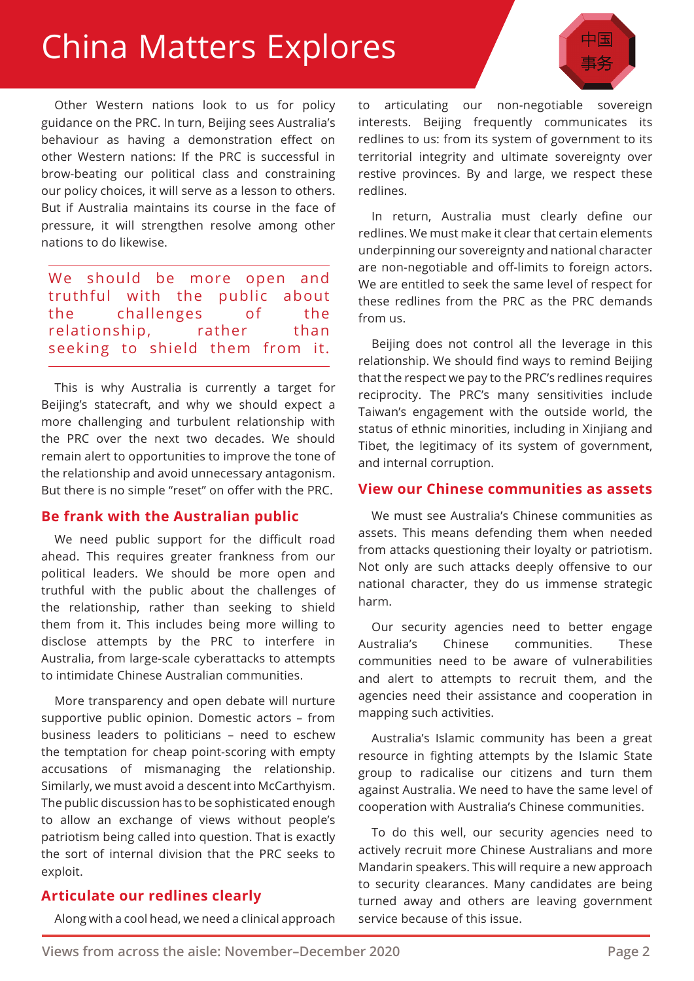# China Matters Explores

Other Western nations look to us for policy guidance on the PRC. In turn, Beijing sees Australia's behaviour as having a demonstration effect on other Western nations: If the PRC is successful in brow-beating our political class and constraining our policy choices, it will serve as a lesson to others. But if Australia maintains its course in the face of pressure, it will strengthen resolve among other nations to do likewise.

We should be more open and truthful with the public about the challenges of the relationship, rather than seeking to shield them from it.

This is why Australia is currently a target for Beijing's statecraft, and why we should expect a more challenging and turbulent relationship with the PRC over the next two decades. We should remain alert to opportunities to improve the tone of the relationship and avoid unnecessary antagonism. But there is no simple "reset" on offer with the PRC.

#### **Be frank with the Australian public**

We need public support for the difficult road ahead. This requires greater frankness from our political leaders. We should be more open and truthful with the public about the challenges of the relationship, rather than seeking to shield them from it. This includes being more willing to disclose attempts by the PRC to interfere in Australia, from large-scale cyberattacks to attempts to intimidate Chinese Australian communities.

More transparency and open debate will nurture supportive public opinion. Domestic actors – from business leaders to politicians – need to eschew the temptation for cheap point-scoring with empty accusations of mismanaging the relationship. Similarly, we must avoid a descent into McCarthyism. The public discussion has to be sophisticated enough to allow an exchange of views without people's patriotism being called into question. That is exactly the sort of internal division that the PRC seeks to exploit.

# **Articulate our redlines clearly**

Along with a cool head, we need a clinical approach

to articulating our non-negotiable sovereign interests. Beijing frequently communicates its redlines to us: from its system of government to its territorial integrity and ultimate sovereignty over restive provinces. By and large, we respect these redlines.

In return, Australia must clearly define our redlines. We must make it clear that certain elements underpinning our sovereignty and national character are non-negotiable and off-limits to foreign actors. We are entitled to seek the same level of respect for these redlines from the PRC as the PRC demands from us.

Beijing does not control all the leverage in this relationship. We should find ways to remind Beijing that the respect we pay to the PRC's redlines requires reciprocity. The PRC's many sensitivities include Taiwan's engagement with the outside world, the status of ethnic minorities, including in Xinjiang and Tibet, the legitimacy of its system of government, and internal corruption.

#### **View our Chinese communities as assets**

We must see Australia's Chinese communities as assets. This means defending them when needed from attacks questioning their loyalty or patriotism. Not only are such attacks deeply offensive to our national character, they do us immense strategic harm.

Our security agencies need to better engage Australia's Chinese communities. These communities need to be aware of vulnerabilities and alert to attempts to recruit them, and the agencies need their assistance and cooperation in mapping such activities.

Australia's Islamic community has been a great resource in fighting attempts by the Islamic State group to radicalise our citizens and turn them against Australia. We need to have the same level of cooperation with Australia's Chinese communities.

To do this well, our security agencies need to actively recruit more Chinese Australians and more Mandarin speakers. This will require a new approach to security clearances. Many candidates are being turned away and others are leaving government service because of this issue.

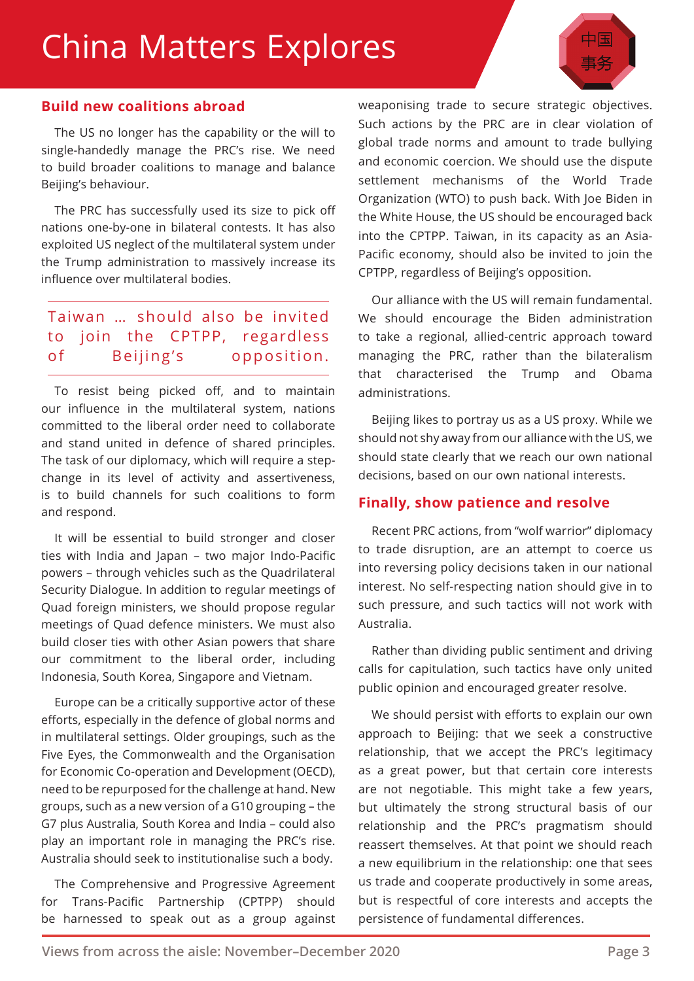# China Matters Explores



### **Build new coalitions abroad**

The US no longer has the capability or the will to single-handedly manage the PRC's rise. We need to build broader coalitions to manage and balance Beijing's behaviour.

The PRC has successfully used its size to pick off nations one-by-one in bilateral contests. It has also exploited US neglect of the multilateral system under the Trump administration to massively increase its influence over multilateral bodies.

# Taiwan … should also be invited to join the CPTPP, regardless of Beijing's opposition.

To resist being picked off, and to maintain our influence in the multilateral system, nations committed to the liberal order need to collaborate and stand united in defence of shared principles. The task of our diplomacy, which will require a stepchange in its level of activity and assertiveness, is to build channels for such coalitions to form and respond.

It will be essential to build stronger and closer ties with India and Japan – two major Indo-Pacific powers – through vehicles such as the Quadrilateral Security Dialogue. In addition to regular meetings of Quad foreign ministers, we should propose regular meetings of Quad defence ministers. We must also build closer ties with other Asian powers that share our commitment to the liberal order, including Indonesia, South Korea, Singapore and Vietnam.

Europe can be a critically supportive actor of these efforts, especially in the defence of global norms and in multilateral settings. Older groupings, such as the Five Eyes, the Commonwealth and the Organisation for Economic Co-operation and Development (OECD), need to be repurposed for the challenge at hand. New groups, such as a new version of a G10 grouping – the G7 plus Australia, South Korea and India – could also play an important role in managing the PRC's rise. Australia should seek to institutionalise such a body.

The Comprehensive and Progressive Agreement for Trans-Pacific Partnership (CPTPP) should be harnessed to speak out as a group against weaponising trade to secure strategic objectives. Such actions by the PRC are in clear violation of global trade norms and amount to trade bullying and economic coercion. We should use the dispute settlement mechanisms of the World Trade Organization (WTO) to push back. With Joe Biden in the White House, the US should be encouraged back into the CPTPP. Taiwan, in its capacity as an Asia-Pacific economy, should also be invited to join the CPTPP, regardless of Beijing's opposition.

Our alliance with the US will remain fundamental. We should encourage the Biden administration to take a regional, allied-centric approach toward managing the PRC, rather than the bilateralism that characterised the Trump and Obama administrations.

Beijing likes to portray us as a US proxy. While we should not shy away from our alliance with the US, we should state clearly that we reach our own national decisions, based on our own national interests.

# **Finally, show patience and resolve**

Recent PRC actions, from "wolf warrior" diplomacy to trade disruption, are an attempt to coerce us into reversing policy decisions taken in our national interest. No self-respecting nation should give in to such pressure, and such tactics will not work with Australia.

Rather than dividing public sentiment and driving calls for capitulation, such tactics have only united public opinion and encouraged greater resolve.

We should persist with efforts to explain our own approach to Beijing: that we seek a constructive relationship, that we accept the PRC's legitimacy as a great power, but that certain core interests are not negotiable. This might take a few years, but ultimately the strong structural basis of our relationship and the PRC's pragmatism should reassert themselves. At that point we should reach a new equilibrium in the relationship: one that sees us trade and cooperate productively in some areas, but is respectful of core interests and accepts the persistence of fundamental differences.